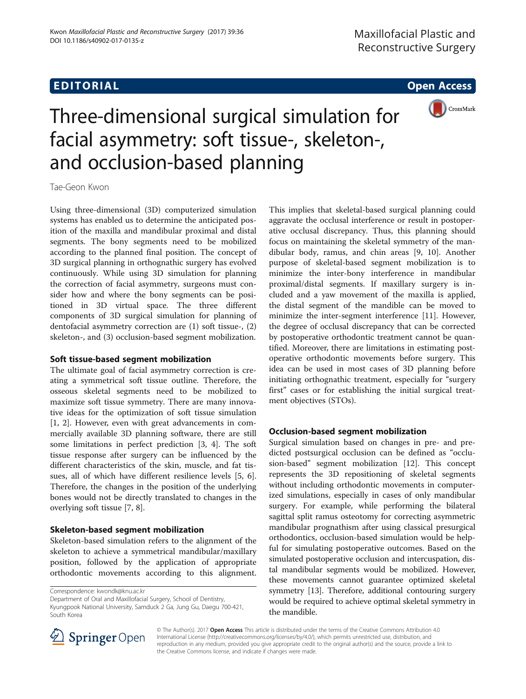# **EDITORIAL** CONTROL CONTROL CONTROL CONTROL CONTROL CONTROL CONTROL CONTROL CONTROL CONTROL CONTROL CONTROL CONTROL CONTROL CONTROL CONTROL CONTROL CONTROL CONTROL CONTROL CONTROL CONTROL CONTROL CONTROL CONTROL CONTROL CO



# Three-dimensional surgical simulation for facial asymmetry: soft tissue-, skeleton-, and occlusion-based planning

Tae-Geon Kwon

Using three-dimensional (3D) computerized simulation systems has enabled us to determine the anticipated position of the maxilla and mandibular proximal and distal segments. The bony segments need to be mobilized according to the planned final position. The concept of 3D surgical planning in orthognathic surgery has evolved continuously. While using 3D simulation for planning the correction of facial asymmetry, surgeons must consider how and where the bony segments can be positioned in 3D virtual space. The three different components of 3D surgical simulation for planning of dentofacial asymmetry correction are (1) soft tissue-, (2) skeleton-, and (3) occlusion-based segment mobilization.

### Soft tissue-based segment mobilization

The ultimate goal of facial asymmetry correction is creating a symmetrical soft tissue outline. Therefore, the osseous skeletal segments need to be mobilized to maximize soft tissue symmetry. There are many innovative ideas for the optimization of soft tissue simulation [[1, 2\]](#page-1-0). However, even with great advancements in commercially available 3D planning software, there are still some limitations in perfect prediction [\[3](#page-1-0), [4](#page-1-0)]. The soft tissue response after surgery can be influenced by the different characteristics of the skin, muscle, and fat tissues, all of which have different resilience levels [[5, 6](#page-1-0)]. Therefore, the changes in the position of the underlying bones would not be directly translated to changes in the overlying soft tissue [[7, 8\]](#page-1-0).

### Skeleton-based segment mobilization

Skeleton-based simulation refers to the alignment of the skeleton to achieve a symmetrical mandibular/maxillary position, followed by the application of appropriate orthodontic movements according to this alignment.

Correspondence: [kwondk@knu.ac.kr](mailto:kwondk@knu.ac.kr)

Department of Oral and Maxillofacial Surgery, School of Dentistry, Kyungpook National University, Samduck 2 Ga, Jung Gu, Daegu 700-421, South Korea

This implies that skeletal-based surgical planning could aggravate the occlusal interference or result in postoperative occlusal discrepancy. Thus, this planning should focus on maintaining the skeletal symmetry of the mandibular body, ramus, and chin areas [[9, 10\]](#page-1-0). Another purpose of skeletal-based segment mobilization is to minimize the inter-bony interference in mandibular proximal/distal segments. If maxillary surgery is included and a yaw movement of the maxilla is applied, the distal segment of the mandible can be moved to minimize the inter-segment interference [\[11\]](#page-1-0). However, the degree of occlusal discrepancy that can be corrected by postoperative orthodontic treatment cannot be quantified. Moreover, there are limitations in estimating postoperative orthodontic movements before surgery. This idea can be used in most cases of 3D planning before initiating orthognathic treatment, especially for "surgery first" cases or for establishing the initial surgical treatment objectives (STOs).

## Occlusion-based segment mobilization

Surgical simulation based on changes in pre- and predicted postsurgical occlusion can be defined as "occlusion-based" segment mobilization [[12\]](#page-1-0). This concept represents the 3D repositioning of skeletal segments without including orthodontic movements in computerized simulations, especially in cases of only mandibular surgery. For example, while performing the bilateral sagittal split ramus osteotomy for correcting asymmetric mandibular prognathism after using classical presurgical orthodontics, occlusion-based simulation would be helpful for simulating postoperative outcomes. Based on the simulated postoperative occlusion and intercuspation, distal mandibular segments would be mobilized. However, these movements cannot guarantee optimized skeletal symmetry [[13](#page-1-0)]. Therefore, additional contouring surgery would be required to achieve optimal skeletal symmetry in the mandible.



© The Author(s). 2017 **Open Access** This article is distributed under the terms of the Creative Commons Attribution 4.0 International License ([http://creativecommons.org/licenses/by/4.0/\)](http://creativecommons.org/licenses/by/4.0/), which permits unrestricted use, distribution, and reproduction in any medium, provided you give appropriate credit to the original author(s) and the source, provide a link to the Creative Commons license, and indicate if changes were made.